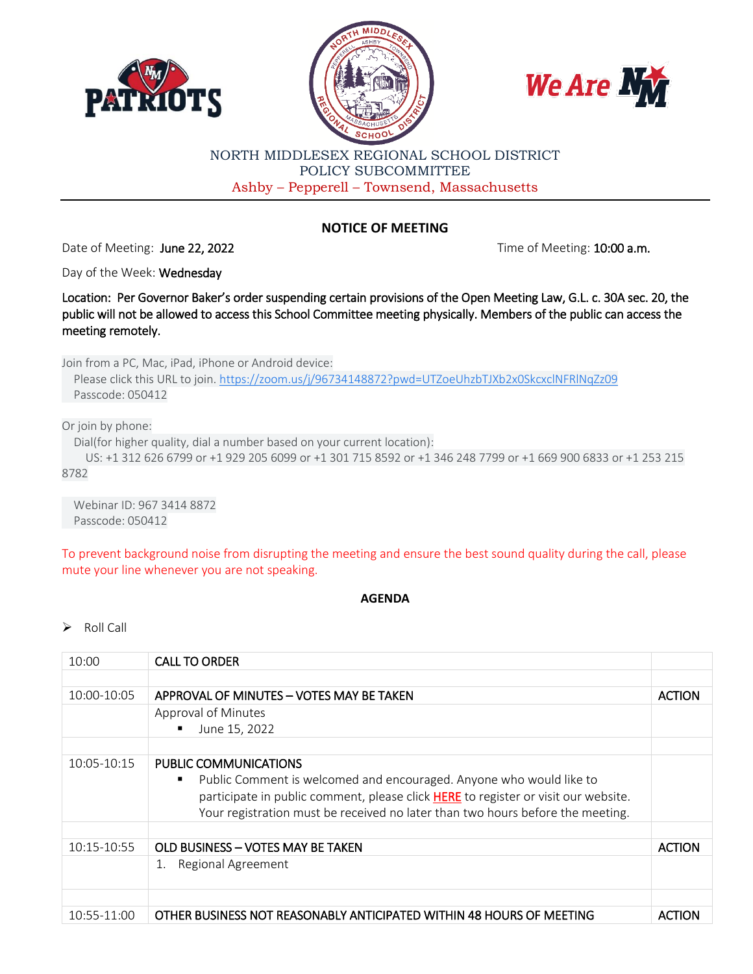





## NORTH MIDDLESEX REGIONAL SCHOOL DISTRICT POLICY SUBCOMMITTEE Ashby – Pepperell – Townsend, Massachusetts

## **NOTICE OF MEETING**

Date of Meeting: June 22, 2022 **Time of Meeting: 10:00 a.m.** 

Day of the Week: Wednesday

Location: Per Governor Baker's order suspending certain provisions of the Open Meeting Law, G.L. c. 30A sec. 20, the public will not be allowed to access this School Committee meeting physically. Members of the public can access the meeting remotely.

Join from a PC, Mac, iPad, iPhone or Android device:

 Please click this URL to join. [https://zoom.us/j/96734148872?pwd=UTZoeUhzbTJXb2x0SkcxclNFRlNqZz09](https://www.google.com/url?q=https://zoom.us/j/96734148872?pwd%3DUTZoeUhzbTJXb2x0SkcxclNFRlNqZz09&sa=D&source=calendar&ust=1655740925097366&usg=AOvVaw0qoQ0bq2bwOUVeA8LZ3vxQ) Passcode: 050412

Or join by phone:

Dial(for higher quality, dial a number based on your current location):

 US: +1 312 626 6799 or +1 929 205 6099 or +1 301 715 8592 or +1 346 248 7799 or +1 669 900 6833 or +1 253 215 8782

 Webinar ID: 967 3414 8872 Passcode: 050412

To prevent background noise from disrupting the meeting and ensure the best sound quality during the call, please mute your line whenever you are not speaking.

## **AGENDA**

 $\triangleright$  Roll Call

| 10:00       | <b>CALL TO ORDER</b>                                                                                                                                                                                                                                                      |               |
|-------------|---------------------------------------------------------------------------------------------------------------------------------------------------------------------------------------------------------------------------------------------------------------------------|---------------|
|             |                                                                                                                                                                                                                                                                           |               |
| 10:00-10:05 | APPROVAL OF MINUTES - VOTES MAY BE TAKEN                                                                                                                                                                                                                                  | <b>ACTION</b> |
|             | Approval of Minutes                                                                                                                                                                                                                                                       |               |
|             | June 15, 2022<br>٠                                                                                                                                                                                                                                                        |               |
|             |                                                                                                                                                                                                                                                                           |               |
| 10:05-10:15 | PUBLIC COMMUNICATIONS<br>Public Comment is welcomed and encouraged. Anyone who would like to<br>٠<br>participate in public comment, please click HERE to register or visit our website.<br>Your registration must be received no later than two hours before the meeting. |               |
| 10:15-10:55 | OLD BUSINESS - VOTES MAY BE TAKEN                                                                                                                                                                                                                                         | <b>ACTION</b> |
|             | Regional Agreement<br>1.                                                                                                                                                                                                                                                  |               |
|             |                                                                                                                                                                                                                                                                           |               |
| 10:55-11:00 | OTHER BUSINESS NOT REASONABLY ANTICIPATED WITHIN 48 HOURS OF MEETING                                                                                                                                                                                                      | <b>ACTION</b> |